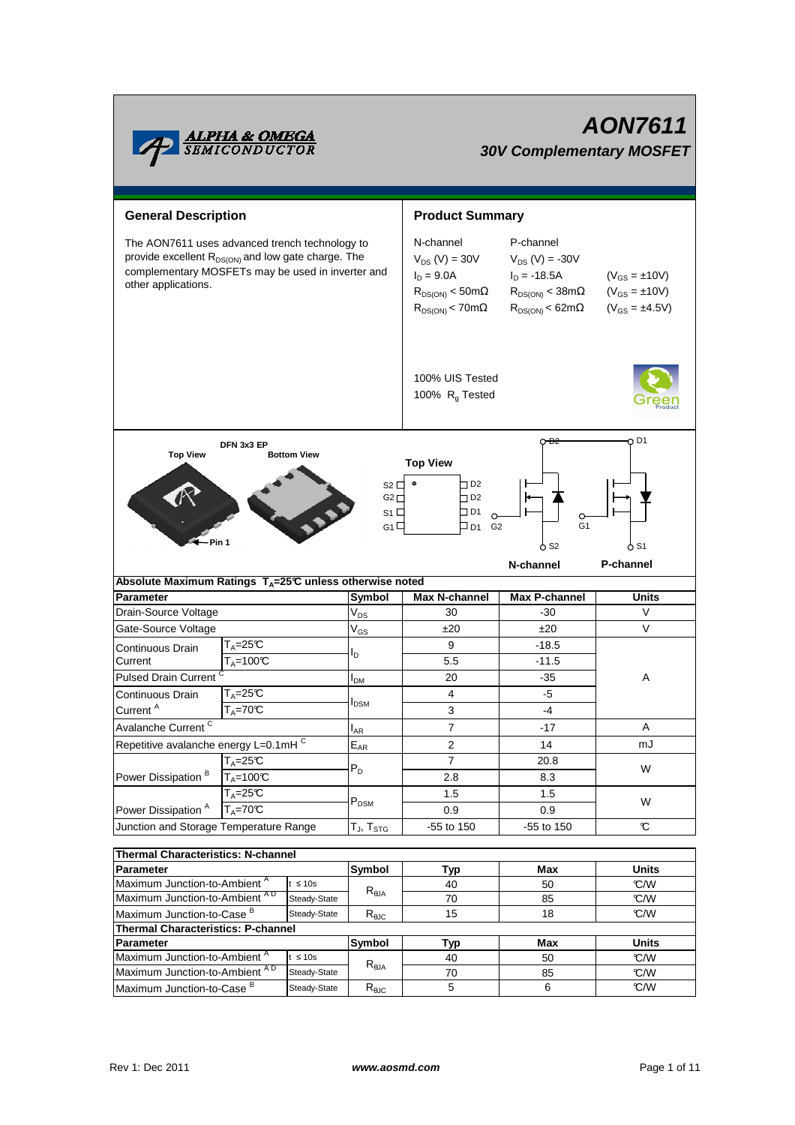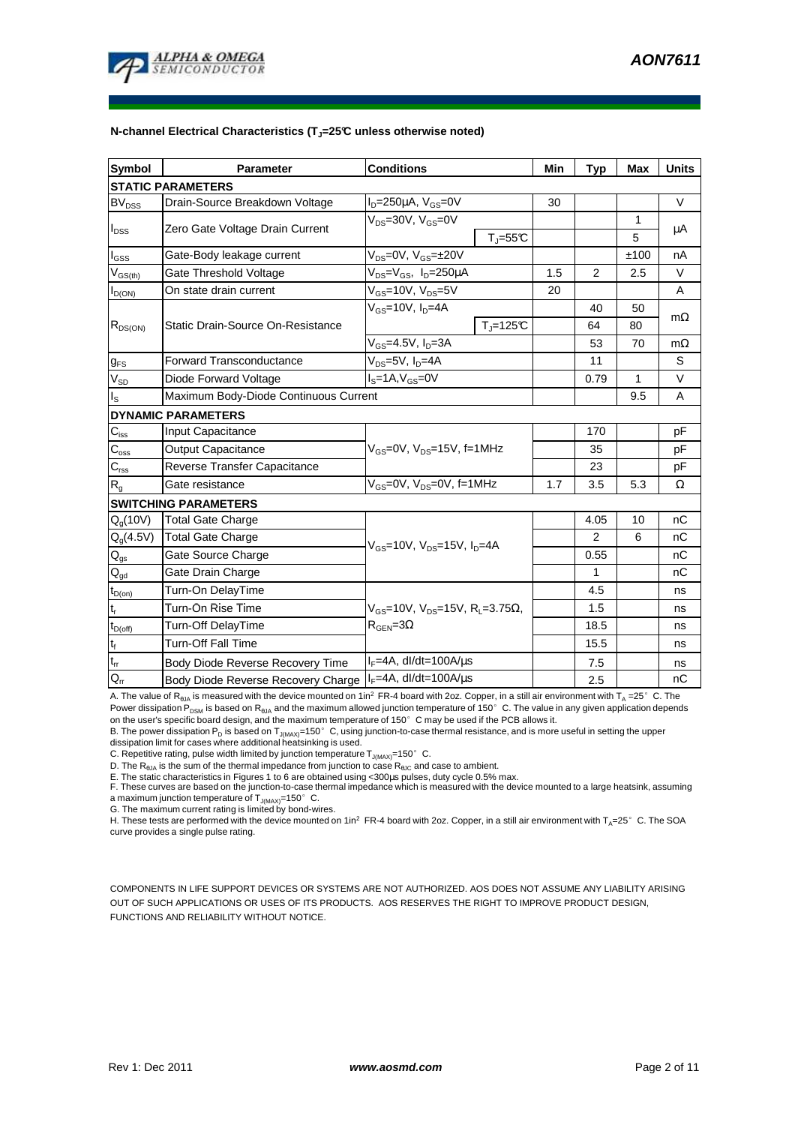

#### **N-channel Electrical Characteristics (TJ=25°C unless otherwise noted)**

| <b>Symbol</b>               | <b>Parameter</b>                      | <b>Conditions</b>                                             | Min | Typ            | <b>Max</b>   | <b>Units</b> |  |  |  |  |
|-----------------------------|---------------------------------------|---------------------------------------------------------------|-----|----------------|--------------|--------------|--|--|--|--|
| <b>STATIC PARAMETERS</b>    |                                       |                                                               |     |                |              |              |  |  |  |  |
| <b>BV<sub>DSS</sub></b>     | Drain-Source Breakdown Voltage        | $ID=250\mu A$ , $VGS=0V$                                      | 30  |                |              | V            |  |  |  |  |
| $I_{DSS}$                   | Zero Gate Voltage Drain Current       | $V_{DS}$ =30V, $V_{GS}$ =0V                                   |     |                | $\mathbf{1}$ | μA           |  |  |  |  |
|                             |                                       | $T_{\parallel} = 55$ °C                                       |     |                | 5            |              |  |  |  |  |
| $I_{GSS}$                   | Gate-Body leakage current             | $V_{DS} = 0V$ , $V_{GS} = \pm 20V$                            |     |                | ±100         | nA           |  |  |  |  |
| $V_{GS(th)}$                | Gate Threshold Voltage                | V <sub>DS</sub> =V <sub>GS</sub> , I <sub>D</sub> =250µA      | 1.5 | 2              | 2.5          | V            |  |  |  |  |
| $I_{D(ON)}$                 | On state drain current                | $V_{GS}$ =10V, $V_{DS}$ =5V                                   | 20  |                |              | A            |  |  |  |  |
| $R_{DS(ON)}$                | Static Drain-Source On-Resistance     | $V_{GS}$ =10V, I <sub>D</sub> =4A                             |     | 40             | 50           | $m\Omega$    |  |  |  |  |
|                             |                                       | $Tj=125C$                                                     |     | 64             | 80           |              |  |  |  |  |
|                             |                                       | $V_{GS}$ =4.5V, I <sub>D</sub> =3A                            |     | 53             | 70           | $m\Omega$    |  |  |  |  |
| $g_{FS}$                    | <b>Forward Transconductance</b>       | $V_{DS} = 5V$ , $I_D = 4A$                                    |     | 11             |              | S            |  |  |  |  |
| $V_{SD}$                    | Diode Forward Voltage                 | $IS=1A, VGS=0V$                                               |     | 0.79           | 1            | V            |  |  |  |  |
| $I_{\rm S}$                 | Maximum Body-Diode Continuous Current |                                                               |     |                | 9.5          | A            |  |  |  |  |
| <b>DYNAMIC PARAMETERS</b>   |                                       |                                                               |     |                |              |              |  |  |  |  |
| $C_{\text{iss}}$            | Input Capacitance                     | $V_{GS}$ =0V, $V_{DS}$ =15V, f=1MHz                           |     | 170            |              | pF           |  |  |  |  |
| $C_{\rm oss}$               | <b>Output Capacitance</b>             |                                                               |     | 35             |              | рF           |  |  |  |  |
| $C_{\text{rss}}$            | Reverse Transfer Capacitance          |                                                               |     | 23             |              | pF           |  |  |  |  |
| $R_{g}$                     | Gate resistance                       | $V_{GS}$ =0V, $V_{DS}$ =0V, f=1MHz                            | 1.7 | 3.5            | 5.3          | Ω            |  |  |  |  |
| <b>SWITCHING PARAMETERS</b> |                                       |                                                               |     |                |              |              |  |  |  |  |
| Q <sub>q</sub> (10V)        | <b>Total Gate Charge</b>              | $V_{GS}$ =10V, $V_{DS}$ =15V, $I_{D}$ =4A                     |     | 4.05           | 10           | nC           |  |  |  |  |
| $Q_q(4.5V)$                 | <b>Total Gate Charge</b>              |                                                               |     | $\overline{2}$ | 6            | nC           |  |  |  |  |
| $\mathsf{Q}_{\mathsf{gs}}$  | Gate Source Charge                    |                                                               |     | 0.55           |              | nC           |  |  |  |  |
| $Q_{qd}$                    | Gate Drain Charge                     |                                                               |     | 1              |              | nC           |  |  |  |  |
| $t_{D(0n)}$                 | Turn-On DelayTime                     |                                                               |     | 4.5            |              | ns           |  |  |  |  |
| $t_r$                       | Turn-On Rise Time                     | $V_{GS}$ =10V, $V_{DS}$ =15V, R <sub>L</sub> =3.75 $\Omega$ , |     | 1.5            |              | ns           |  |  |  |  |
| $t_{D(\text{off})}$         | Turn-Off DelayTime                    | $R_{\text{GEN}} = 3\Omega$                                    |     | 18.5           |              | ns           |  |  |  |  |
| $\mathbf{t}_\text{f}$       | <b>Turn-Off Fall Time</b>             |                                                               |     | 15.5           |              | ns           |  |  |  |  |
| $t_{rr}$                    | Body Diode Reverse Recovery Time      | $I_F = 4A$ , dl/dt=100A/ $\mu$ s                              |     | 7.5            |              | ns           |  |  |  |  |
| $Q_{rr}$                    | Body Diode Reverse Recovery Charge    | $I_F = 4A$ , dl/dt=100A/ $\mu$ s                              |     | 2.5            |              | nC           |  |  |  |  |

A. The value of R<sub>BJA</sub> is measured with the device mounted on 1in<sup>2</sup> FR-4 board with 2oz. Copper, in a still air environment with T<sub>A</sub> =25°C. The Power dissipation P<sub>DSM</sub> is based on R<sub>θJA</sub> and the maximum allowed junction temperature of 150°C. The value in any given application depends

on the user's specific board design, and the maximum temperature of 150°C may be used if the PCB allows it. B. The power dissipation P<sub>D</sub> is based on T<sub>J(MAX)</sub>=150°C, using junction-to-case thermal resistance, and is more useful in setting the upper<br>dissipation limit for cases where additional heatsinking is used.

C. Repetitive rating, pulse width limited by junction temperature  $T_{J(MAX)}$ =150° C.

D. The  $R_{\text{theta}}$  is the sum of the thermal impedance from junction to case  $R_{\text{theta}}$  and case to ambient.

E. The static characteristics in Figures 1 to 6 are obtained using <300µs pulses, duty cycle 0.5% max.<br>F. These curves are based on the junction-to-case thermal impedance which is measured with the device mounted to a larg a maximum junction temperature of  $T_{J(MAX)}$ =150°C.

G. The maximum current rating is limited by bond-wires.

H. These tests are performed with the device mounted on 1in<sup>2</sup> FR-4 board with 2oz. Copper, in a still air environment with T<sub>A</sub>=25°C. The SOA curve provides a single pulse rating.

COMPONENTS IN LIFE SUPPORT DEVICES OR SYSTEMS ARE NOT AUTHORIZED. AOS DOES NOT ASSUME ANY LIABILITY ARISING OUT OF SUCH APPLICATIONS OR USES OF ITS PRODUCTS. AOS RESERVES THE RIGHT TO IMPROVE PRODUCT DESIGN, FUNCTIONS AND RELIABILITY WITHOUT NOTICE.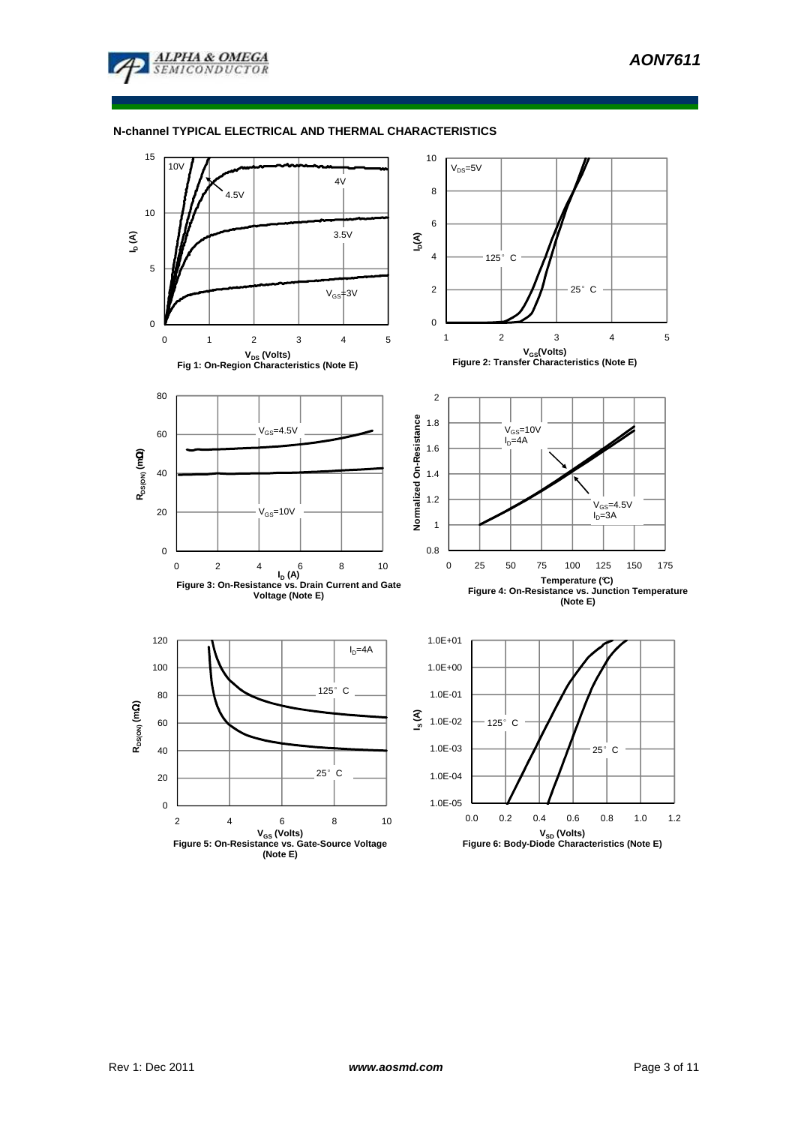

# **N-channel TYPICAL ELECTRICAL AND THERMAL CHARACTERISTICS**

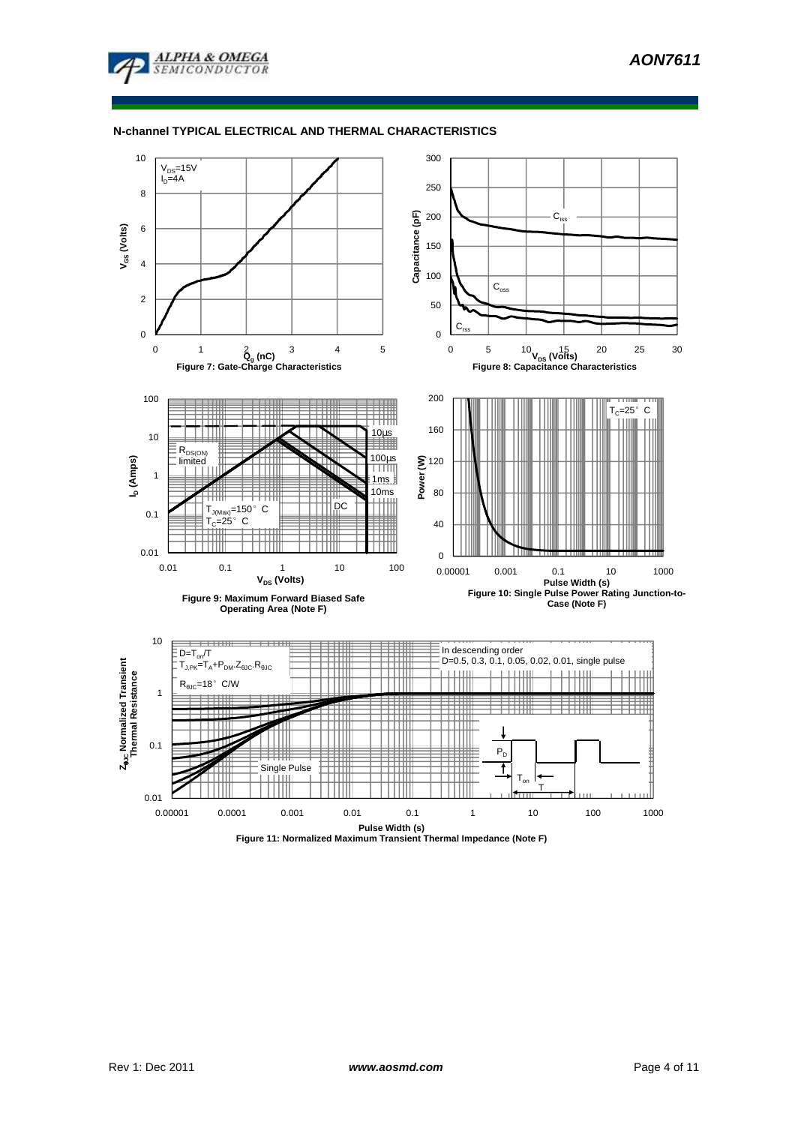

# **N-channel TYPICAL ELECTRICAL AND THERMAL CHARACTERISTICS**



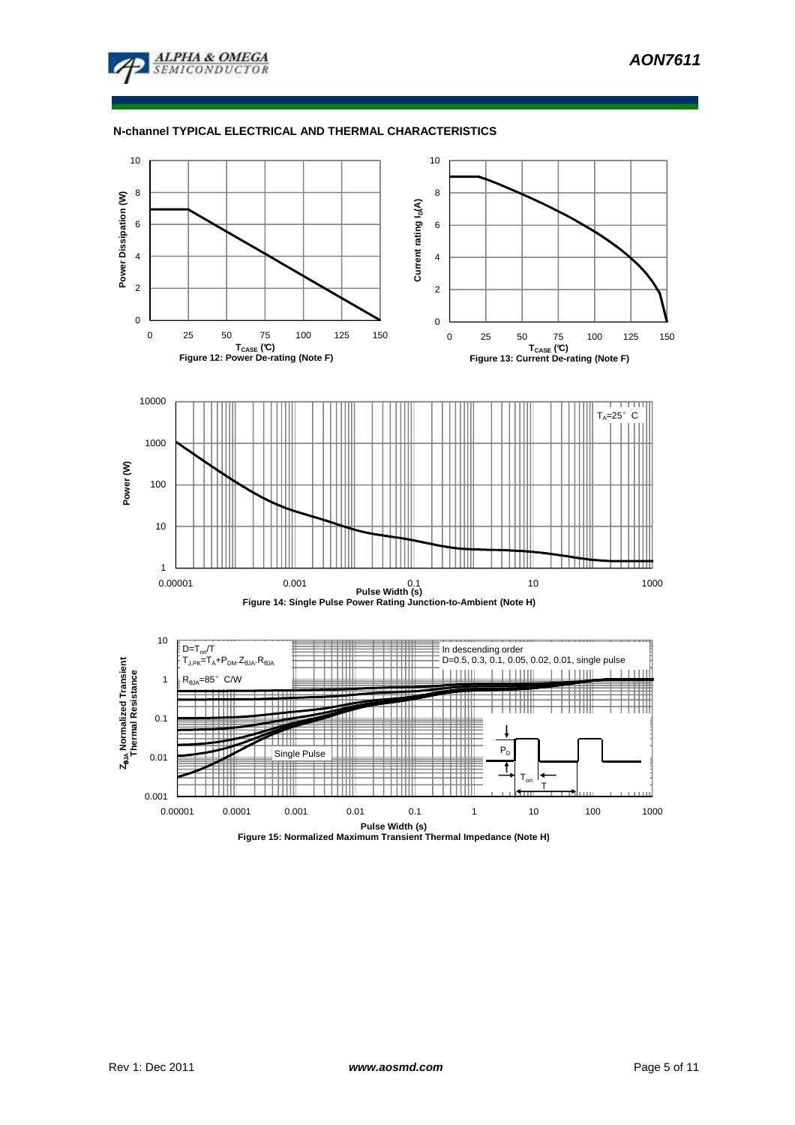

# **N-channel TYPICAL ELECTRICAL AND THERMAL CHARACTERISTICS**

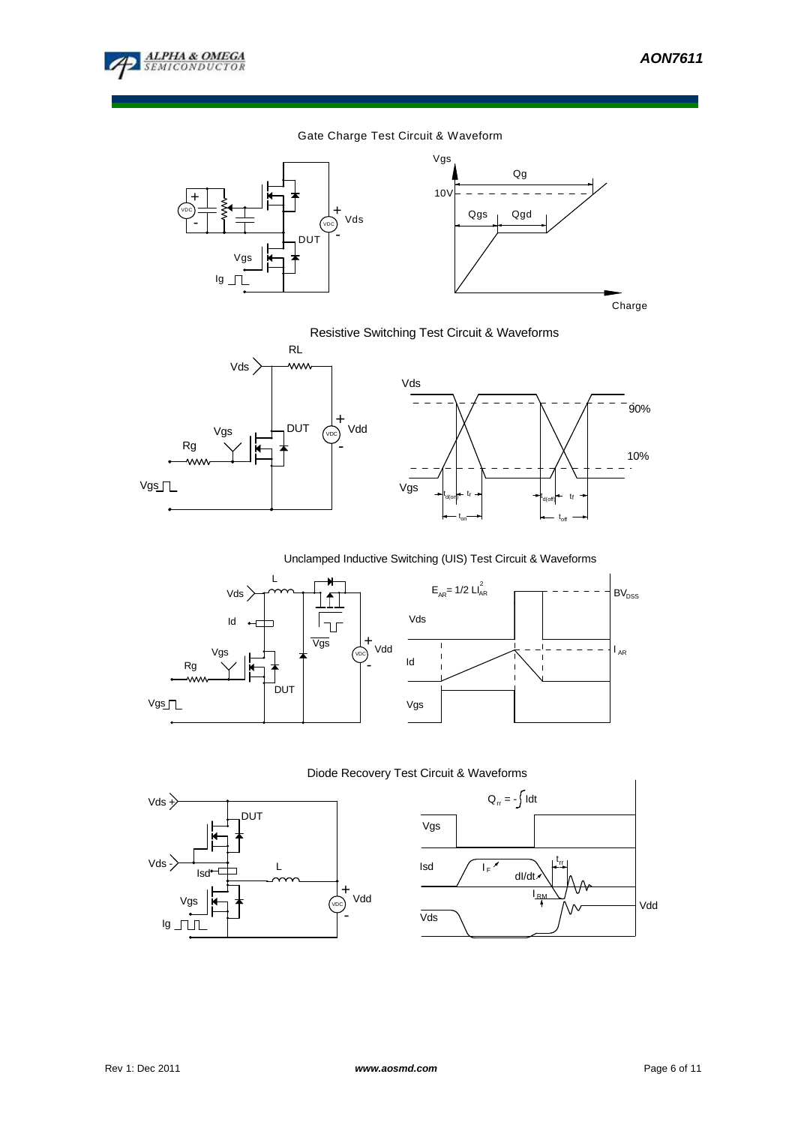

10%

**BV**<sub>DSS</sub>

 $I_{AR}$ 

90%

# Gate Charge Test Circuit & Waveform





Resistive Switching Test Circuit & Waveforms



Unclamped Inductive Switching (UIS) Test Circuit & Waveforms



Diode Recovery Test Circuit & Waveforms



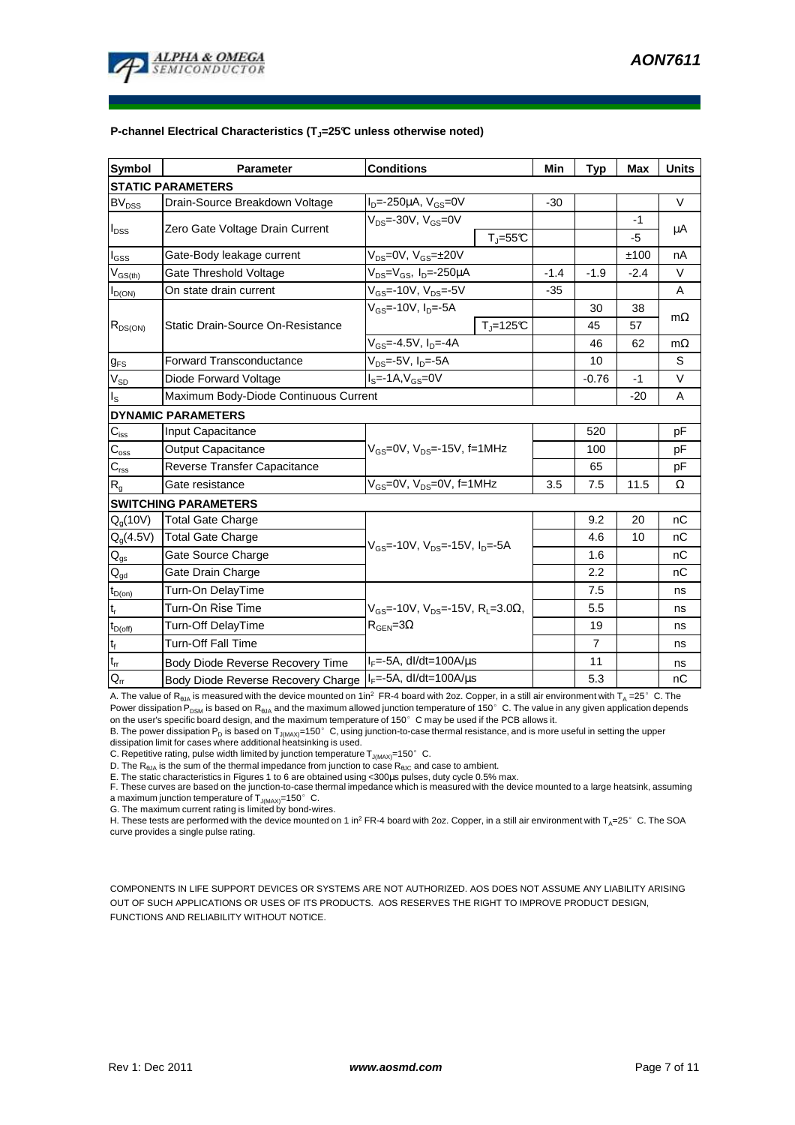

#### **P-channel Electrical Characteristics (TJ=25°C unless otherwise noted)**

| <b>Symbol</b>                          | Parameter                                | <b>Conditions</b>                                                  | Min    | <b>Typ</b>     | <b>Max</b> | <b>Units</b> |  |  |  |  |
|----------------------------------------|------------------------------------------|--------------------------------------------------------------------|--------|----------------|------------|--------------|--|--|--|--|
| <b>STATIC PARAMETERS</b>               |                                          |                                                                    |        |                |            |              |  |  |  |  |
| <b>BV</b> <sub>DSS</sub>               | Drain-Source Breakdown Voltage           | $I_{D} = -250 \mu A$ , $V_{GS} = 0V$                               | $-30$  |                |            | V            |  |  |  |  |
| $I_{DSS}$                              | Zero Gate Voltage Drain Current          | $V_{DS}$ =-30V, $V_{GS}$ =0V                                       |        |                | $-1$       | μA           |  |  |  |  |
|                                        |                                          | $T_{\parallel} = 55$ °C                                            |        |                | -5         |              |  |  |  |  |
| $I_{\rm GSS}$                          | Gate-Body leakage current                | $V_{DS} = 0V$ , $V_{GS} = \pm 20V$                                 |        |                | ±100       | nA           |  |  |  |  |
| $V_{GS(th)}$                           | Gate Threshold Voltage                   | V <sub>DS</sub> =V <sub>GS</sub> , I <sub>D</sub> =-250µA          | $-1.4$ | $-1.9$         | $-2.4$     | V            |  |  |  |  |
| $I_{D(ON)}$                            | On state drain current                   | $V_{GS}$ =-10V, $V_{DS}$ =-5V                                      | $-35$  |                |            | A            |  |  |  |  |
| $R_{DS(ON)}$                           | <b>Static Drain-Source On-Resistance</b> | $V_{GS}$ =-10V, I <sub>D</sub> =-5A                                |        | 30             | 38         | $m\Omega$    |  |  |  |  |
|                                        |                                          | $T_{\rm J}$ =125 $\rm C$                                           |        | 45             | 57         |              |  |  |  |  |
|                                        |                                          | $V_{GS} = -4.5V, I_D = -4A$                                        |        | 46             | 62         | $m\Omega$    |  |  |  |  |
| $g_{FS}$                               | Forward Transconductance                 | $V_{DS}$ =-5V, $I_D$ =-5A                                          |        | 10             |            | S            |  |  |  |  |
| $V_{SD}$                               | Diode Forward Voltage                    | $IS=-1A, VGS=0V$                                                   |        | $-0.76$        | -1         | V            |  |  |  |  |
| $I_{\text{S}}$                         | Maximum Body-Diode Continuous Current    |                                                                    |        |                | $-20$      | A            |  |  |  |  |
| <b>DYNAMIC PARAMETERS</b>              |                                          |                                                                    |        |                |            |              |  |  |  |  |
| $C_{\rm iss}$                          | Input Capacitance                        |                                                                    |        | 520            |            | pF           |  |  |  |  |
| $C_{\rm oss}$                          | Output Capacitance                       | $V_{GS}$ =0V, $V_{DS}$ =-15V, f=1MHz                               |        | 100            |            | pF           |  |  |  |  |
| $C_{\rm rss}$                          | Reverse Transfer Capacitance             |                                                                    |        | 65             |            | pF           |  |  |  |  |
| $R_{g}$                                | Gate resistance                          | $V_{GS}$ =0V, $V_{DS}$ =0V, f=1MHz                                 | 3.5    | 7.5            | 11.5       | Ω            |  |  |  |  |
| <b>SWITCHING PARAMETERS</b>            |                                          |                                                                    |        |                |            |              |  |  |  |  |
| $Q_q(10V)$                             | <b>Total Gate Charge</b>                 | $V_{\text{GS}}$ =-10V, $V_{\text{DS}}$ =-15V, $I_{\text{DS}}$ =-5A |        | 9.2            | 20         | nC           |  |  |  |  |
| $Q_g(4.5V)$                            | <b>Total Gate Charge</b>                 |                                                                    |        | 4.6            | 10         | nC           |  |  |  |  |
| $\mathsf{Q}_{\mathsf{gs}}$             | Gate Source Charge                       |                                                                    |        | 1.6            |            | nC           |  |  |  |  |
| $\mathsf{Q}_{\underline{\mathsf{gd}}}$ | Gate Drain Charge                        |                                                                    |        | 2.2            |            | nC           |  |  |  |  |
| $t_{D(on)}$                            | Turn-On DelayTime                        |                                                                    |        | 7.5            |            | ns           |  |  |  |  |
| $t_r$                                  | Turn-On Rise Time                        | $V_{GS}$ =-10V, $V_{DS}$ =-15V, R <sub>L</sub> =3.0 $\Omega$ ,     |        | 5.5            |            | ns           |  |  |  |  |
| $t_{D(off)}$                           | Turn-Off DelayTime                       | $R_{\text{GEN}} = 3\Omega$                                         |        | 19             |            | ns           |  |  |  |  |
| $t_f$                                  | <b>Turn-Off Fall Time</b>                |                                                                    |        | $\overline{7}$ |            | ns           |  |  |  |  |
| $\mathfrak{t}_{\text{rr}}$             | Body Diode Reverse Recovery Time         | $I_F = -5A$ , dl/dt=100A/ $\mu$ s                                  |        | 11             |            | ns           |  |  |  |  |
| $Q_{rr}$                               | Body Diode Reverse Recovery Charge       | $I_F$ =-5A, dl/dt=100A/ $\mu$ s                                    |        | 5.3            |            | nC           |  |  |  |  |

A. The value of R<sub>BJA</sub> is measured with the device mounted on 1in<sup>2</sup> FR-4 board with 2oz. Copper, in a still air environment with T<sub>A</sub> =25°C. The Power dissipation P<sub>DSM</sub> is based on R<sub>θJA</sub> and the maximum allowed junction temperature of 150°C. The value in any given application depends

on the user's specific board design, and the maximum temperature of 150°C may be used if the PCB allows it. B. The power dissipation P<sub>D</sub> is based on T<sub>J(MAX)</sub>=150°C, using junction-to-case thermal resistance, and is more useful in setting the upper<br>dissipation limit for cases where additional heatsinking is used.

C. Repetitive rating, pulse width limited by junction temperature  $T_{J(MAX)}$ =150° C.

D. The  $R_{\text{theta}}$  is the sum of the thermal impedance from junction to case  $R_{\text{theta}}$  and case to ambient.

E. The static characteristics in Figures 1 to 6 are obtained using <300µs pulses, duty cycle 0.5% max.<br>F. These curves are based on the junction-to-case thermal impedance which is measured with the device mounted to a larg a maximum junction temperature of  $T_{J(MAX)}$ =150°C.

G. The maximum current rating is limited by bond-wires.

H. These tests are performed with the device mounted on 1 in<sup>2</sup> FR-4 board with 2oz. Copper, in a still air environment with T<sub>A</sub>=25°C. The SOA curve provides a single pulse rating.

COMPONENTS IN LIFE SUPPORT DEVICES OR SYSTEMS ARE NOT AUTHORIZED. AOS DOES NOT ASSUME ANY LIABILITY ARISING OUT OF SUCH APPLICATIONS OR USES OF ITS PRODUCTS. AOS RESERVES THE RIGHT TO IMPROVE PRODUCT DESIGN, FUNCTIONS AND RELIABILITY WITHOUT NOTICE.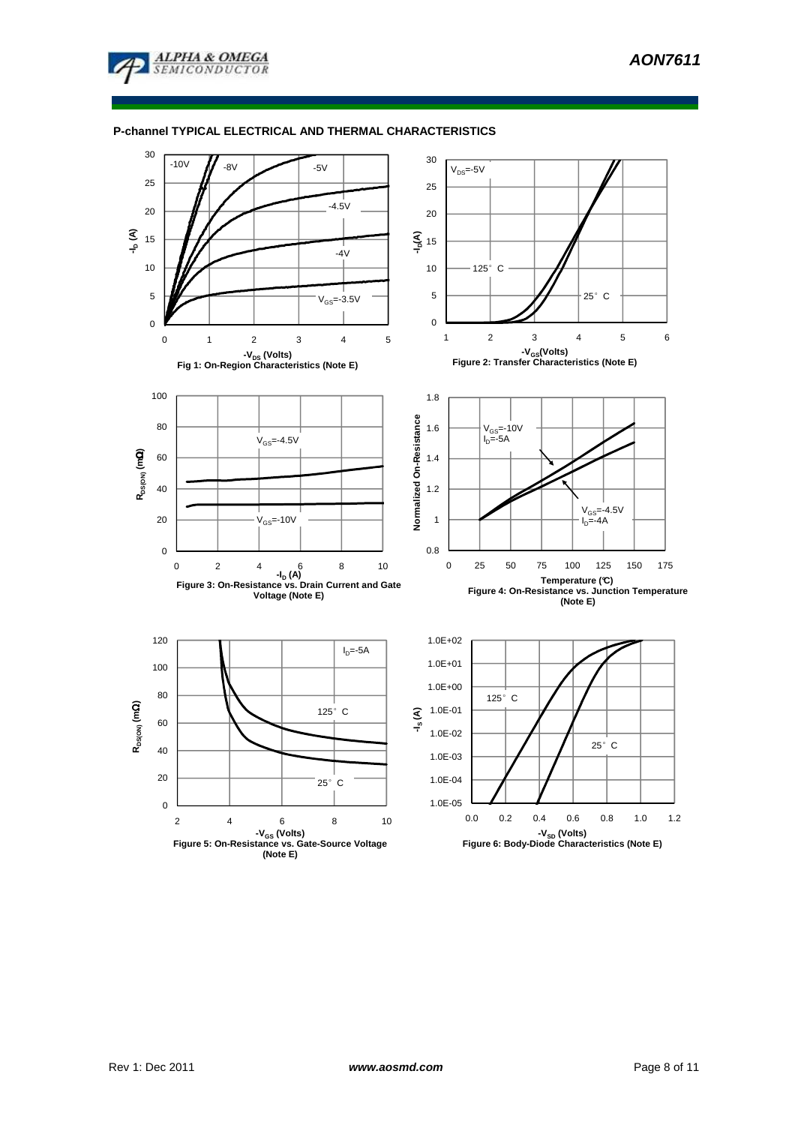

### **P-channel TYPICAL ELECTRICAL AND THERMAL CHARACTERISTICS**

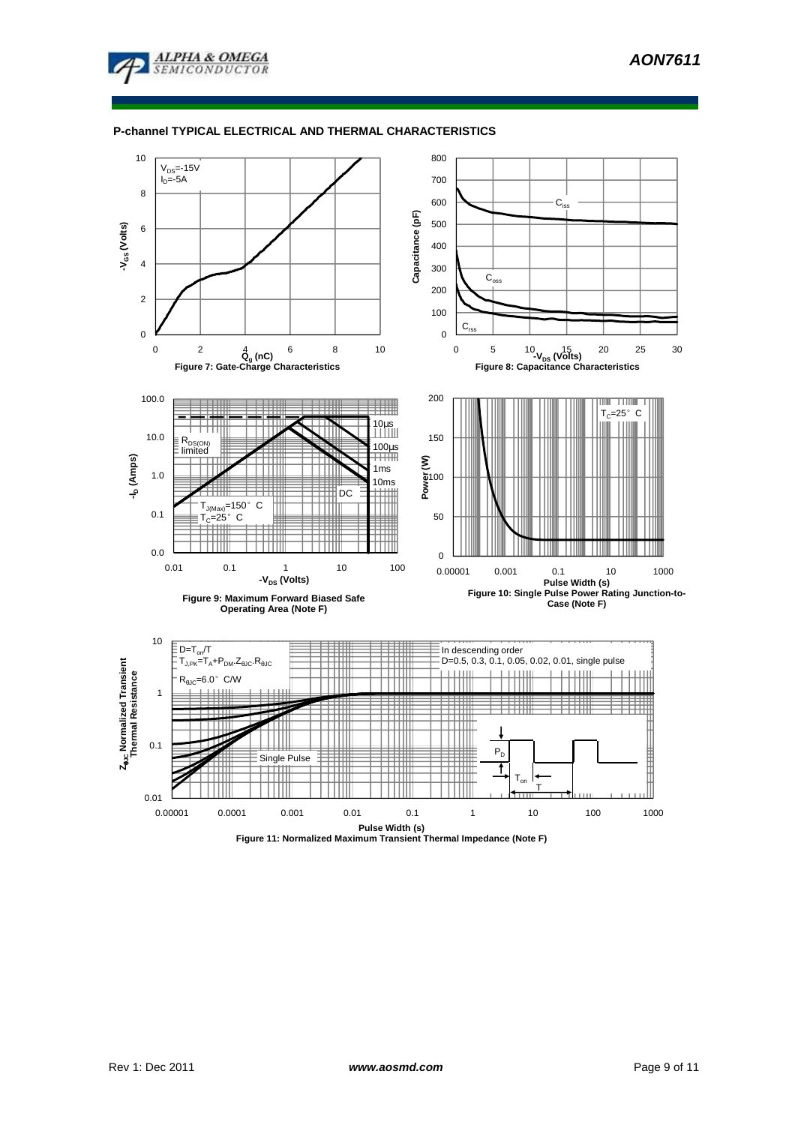

#### **P-channel TYPICAL ELECTRICAL AND THERMAL CHARACTERISTICS**

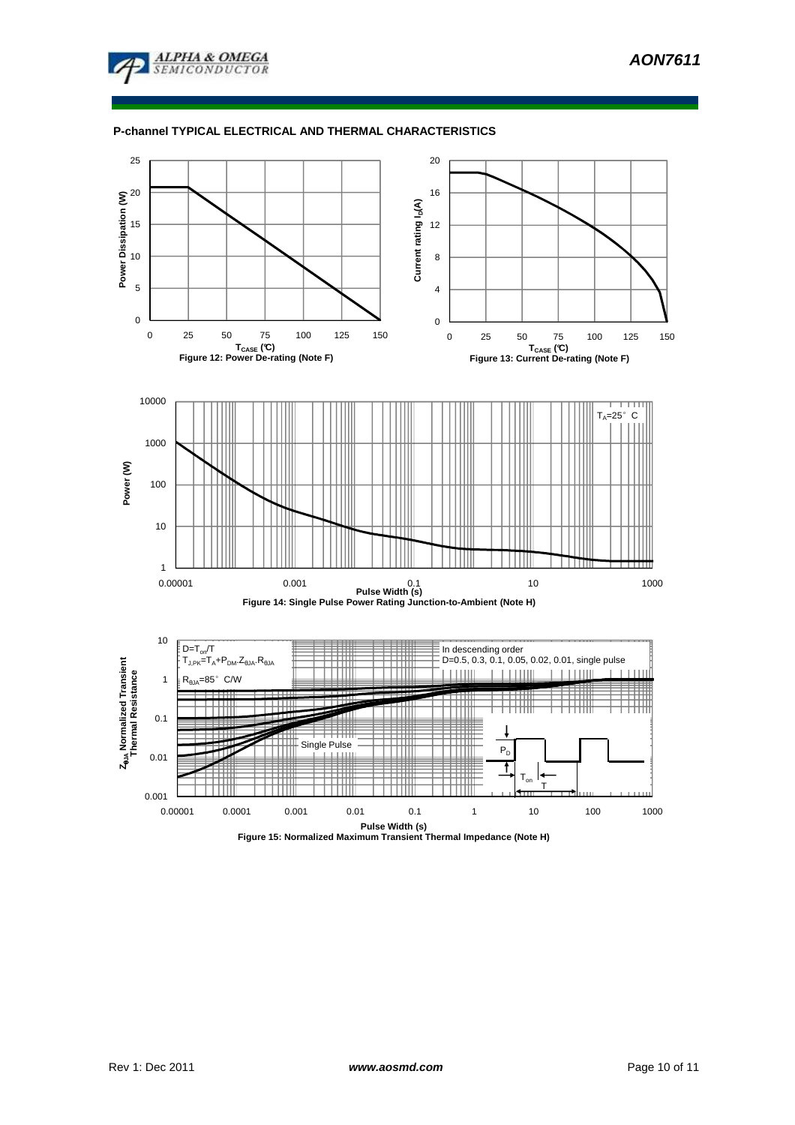

### **P-channel TYPICAL ELECTRICAL AND THERMAL CHARACTERISTICS**